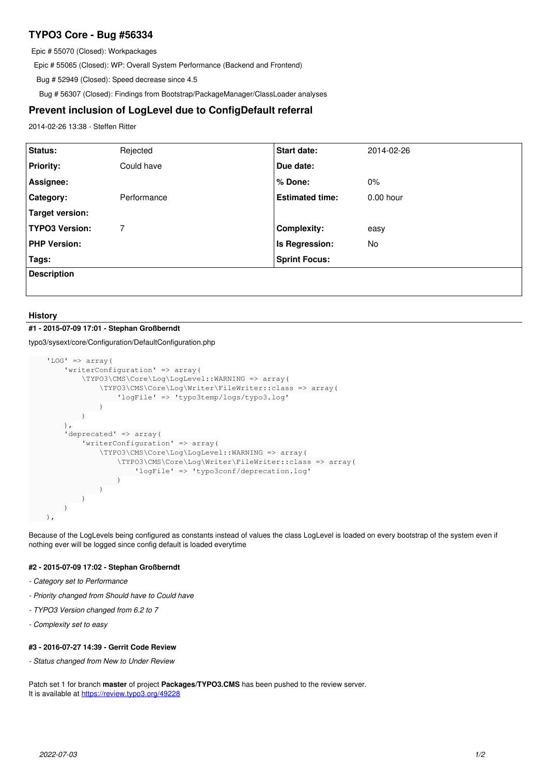# **TYPO3 Core - Bug #56334**

Epic # 55070 (Closed): Workpackages

Epic # 55065 (Closed): WP: Overall System Performance (Backend and Frontend)

Bug # 52949 (Closed): Speed decrease since 4.5

Bug # 56307 (Closed): Findings from Bootstrap/PackageManager/ClassLoader analyses

## **Prevent inclusion of LogLevel due to ConfigDefault referral**

2014-02-26 13:38 - Steffen Ritter

| Status:               | Rejected    | Start date:            | 2014-02-26  |
|-----------------------|-------------|------------------------|-------------|
|                       |             |                        |             |
| <b>Priority:</b>      | Could have  | Due date:              |             |
| Assignee:             |             | % Done:                | 0%          |
| Category:             | Performance | <b>Estimated time:</b> | $0.00$ hour |
| Target version:       |             |                        |             |
| <b>TYPO3 Version:</b> | 7           | <b>Complexity:</b>     | easy        |
| <b>PHP Version:</b>   |             | Is Regression:         | No          |
| Tags:                 |             | <b>Sprint Focus:</b>   |             |
| <b>Description</b>    |             |                        |             |
|                       |             |                        |             |

#### **History**

## **#1 - 2015-07-09 17:01 - Stephan Großberndt**

typo3/sysext/core/Configuration/DefaultConfiguration.php

```
    'LOG' => array(
                    'writerConfiguration' => array(
                             \TYPO3\CMS\Core\Log\LogLevel::WARNING => array(
                                       \TYPO3\CMS\Core\Log\Writer\FileWriter::class => array(
                                                  'logFile' => 'typo3temp/logs/typo3.log'
\overline{\phantom{a}}            )
                   ),
                    'deprecated' => array(
                 'writerConfiguration' => array(
                                       \TYPO3\CMS\Core\Log\LogLevel::WARNING => array(
                                                  \TYPO3\CMS\Core\Log\Writer\FileWriter::class => array(
                                                           'logFile' => 'typo3conf/deprecation.log'
                           \rightarrow\overline{\phantom{a}}\overline{\phantom{a}}        )
     \lambda.
```
Because of the LogLevels being configured as constants instead of values the class LogLevel is loaded on every bootstrap of the system even if nothing ever will be logged since config default is loaded everytime

#### **#2 - 2015-07-09 17:02 - Stephan Großberndt**

- *Category set to Performance*
- *Priority changed from Should have to Could have*
- *TYPO3 Version changed from 6.2 to 7*
- *Complexity set to easy*

#### **#3 - 2016-07-27 14:39 - Gerrit Code Review**

*- Status changed from New to Under Review*

Patch set 1 for branch **master** of project **Packages/TYPO3.CMS** has been pushed to the review server. It is available at <https://review.typo3.org/49228>